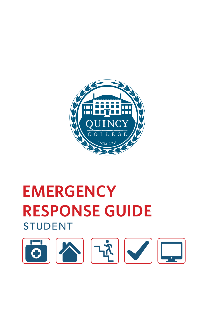

# **EMERGENCY RESPONSE GUIDE** STUDENT

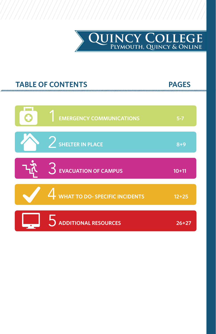

# **TABLE OF CONTENTS PAGES**

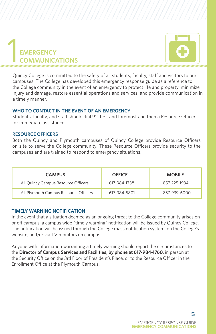

# **EMERGENCY COMMUNICATIONS** 1

Quincy College is committed to the safety of all students, faculty, staff and visitors to our campuses. The College has developed this emergency response guide as a reference to the College community in the event of an emergency to protect life and property, minimize injury and damage, restore essential operations and services, and provide communication in a timely manner.

## **WHO TO CONTACT IN THE EVENT OF AN EMERGENCY**

Students, faculty, and staff should dial 911 first and foremost and then a Resource Officer for immediate assistance.

## **RESOURCE OFFICERS**

Both the Quincy and Plymouth campuses of Quincy College provide Resource Officers on site to serve the College community. These Resource Officers provide security to the campuses and are trained to respond to emergency situations.

| <b>CAMPUS</b>                         | <b>OFFICE</b> | <b>MOBILE</b> |
|---------------------------------------|---------------|---------------|
| All Quincy Campus Resource Officers   | 617-984-1738  | 857-225-1934  |
| All Plymouth Campus Resource Officers | 617-984-5801  | 857-939-6000  |

# **TIMELY WARNING NOTIFICATION**

In the event that a situation deemed as an ongoing threat to the College community arises on or off campus, a campus wide "timely warning" notification will be issued by Quincy College. The notification will be issued through the College mass notification system, on the College's website, and/or via TV monitors on campus.

Anyone with information warranting a timely warning should report the circumstances to the **Director of Campus Services and Facilities, by phone at 617-984-1760**, in person at the Security Office on the 3rd Floor of President's Place, or to the Resource Officer in the Enrollment Office at the Plymouth Campus.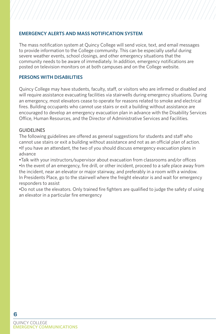# **EMERGENCY ALERTS AND MASS NOTIFICATION SYSTEM**

The mass notification system at Quincy College will send voice, text, and email messages to provide information to the College community. This can be especially useful during severe weather events, school closings, and other emergency situations that the community needs to be aware of immediately. In addition, emergency notifications are posted on television monitors on at both campuses and on the College website.

### **PERSONS WITH DISABILITIES**

Quincy College may have students, faculty, staff, or visitors who are infirmed or disabled and will require assistance evacuating facilities via stairwells during emergency situations. During an emergency, most elevators cease to operate for reasons related to smoke and electrical fires. Building occupants who cannot use stairs or exit a building without assistance are encouraged to develop an emergency evacuation plan in advance with the Disability Services Office, Human Resources, and the Director of Administrative Services and Facilities.

### GUIDELINES

The following guidelines are offered as general suggestions for students and staff who cannot use stairs or exit a building without assistance and not as an official plan of action. •If you have an attendant, the two of you should discuss emergency evacuation plans in advance

•Talk with your instructors/supervisor about evacuation from classrooms and/or offices •In the event of an emergency, fire drill, or other incident, proceed to a safe place away from the incident, near an elevator or major stairway, and preferably in a room with a window. In Presidents Place, go to the stairwell where the freight elevator is and wait for emergency responders to assist

•Do not use the elevators. Only trained fire fighters are qualified to judge the safety of using an elevator in a particular fire emergency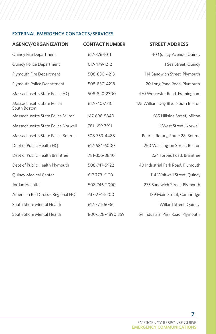# **EXTERNAL EMERGENCY CONTACTS/SERVICES**

| <b>AGENCY/ORGANIZATION</b>                 | <b>CONTACT NUMBER</b> | <b>STREET ADDRESS</b>              |
|--------------------------------------------|-----------------------|------------------------------------|
| Quincy Fire Department                     | 617-376-1011          | 40 Quincy Avenue, Quincy           |
| Quincy Police Department                   | 617-479-1212          | 1 Sea Street, Quincy               |
| Plymouth Fire Department                   | 508-830-4213          | 114 Sandwich Street, Plymouth      |
| <b>Plymouth Police Department</b>          | 508-830-4218          | 20 Long Pond Road, Plymouth        |
| Massachusetts State Police HQ              | 508-820-2300          | 470 Worcester Road, Framingham     |
| Massachusetts State Police<br>South Boston | 617-740-7710          | 125 William Day Blvd, South Boston |
| Massachusetts State Police Milton          | 617-698-5840          | 685 Hillside Street, Milton        |
| Massachusetts State Police Norwell         | 781-659-7911          | 6 West Street, Norwell             |
| Massachusetts State Police Bourne          | 508-759-4488          | Bourne Rotary, Route 28, Bourne    |
| Dept of Public Health HQ                   | 617-624-6000          | 250 Washington Street, Boston      |
| Dept of Public Health Braintree            | 781-356-8840          | 224 Forbes Road, Braintree         |
| Dept of Public Health Plymouth             | 508-747-5922          | 40 Industrial Park Road, Plymouth  |
| Quincy Medical Center                      | 617-773-6100          | 114 Whitwell Street, Quincy        |
| Jordan Hospital                            | 508-746-2000          | 275 Sandwich Street, Plymouth      |
| American Red Cross - Regional HQ           | 617-274-5200          | 139 Main Street, Cambridge         |
| South Shore Mental Health                  | 617-774-6036          | Willard Street, Quincy             |
| South Shore Mental Health                  | 800-528-4890 859      | 64 Industrial Park Road, Plymouth  |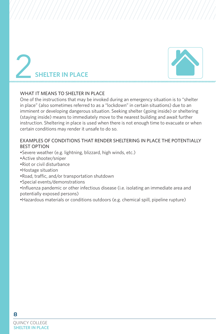



### WHAT IT MEANS TO SHELTER IN PLACE

One of the instructions that may be invoked during an emergency situation is to "shelter in place" (also sometimes referred to as a "lockdown" in certain situations) due to an imminent or developing dangerous situation. Seeking shelter (going inside) or sheltering (staying inside) means to immediately move to the nearest building and await further instruction. Sheltering in place is used when there is not enough time to evacuate or when certain conditions may render it unsafe to do so.

# EXAMPLES OF CONDITIONS THAT RENDER SHELTERING IN PLACE THE POTENTIALLY BEST OPTION

- •Severe weather (e.g. lightning, blizzard, high winds, etc.)
- •Active shooter/sniper
- •Riot or civil disturbance
- •Hostage situation
- •Road, traffic, and/or transportation shutdown
- •Special events/demonstrations
- •Influenza pandemic or other infectious disease (i.e. isolating an immediate area and potentially exposed persons)
- •Hazardous materials or conditions outdoors (e.g. chemical spill, pipeline rupture)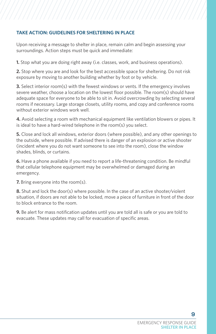# **TAKE ACTION: GUIDELINES FOR SHELTERING IN PLACE**

Upon receiving a message to shelter in place, remain calm and begin assessing your surroundings. Action steps must be quick and immediate:

**1.** Stop what you are doing right away (i.e. classes, work, and business operations).

**2.** Stop where you are and look for the best accessible space for sheltering. Do not risk exposure by moving to another building whether by foot or by vehicle.

**3.** Select interior room(s) with the fewest windows or vents. If the emergency involves severe weather, choose a location on the lowest floor possible. The room(s) should have adequate space for everyone to be able to sit in. Avoid overcrowding by selecting several rooms if necessary. Large storage closets, utility rooms, and copy and conference rooms without exterior windows work well.

**4.** Avoid selecting a room with mechanical equipment like ventilation blowers or pipes. It is ideal to have a hard-wired telephone in the room(s) you select.

**5.** Close and lock all windows, exterior doors (where possible), and any other openings to the outside, where possible. If advised there is danger of an explosion or active shooter (incident where you do not want someone to see into the room), close the window shades, blinds, or curtains.

**6.** Have a phone available if you need to report a life-threatening condition. Be mindful that cellular telephone equipment may be overwhelmed or damaged during an emergency.

**7.** Bring everyone into the room(s).

**8.** Shut and lock the door(s) where possible. In the case of an active shooter/violent situation, if doors are not able to be locked, move a piece of furniture in front of the door to block entrance to the room.

**9.** Be alert for mass notification updates until you are told all is safe or you are told to evacuate. These updates may call for evacuation of specific areas.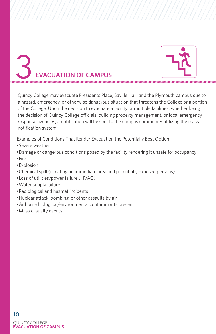

# 3**EVACUATION OF CAMPUS**

Quincy College may evacuate Presidents Place, Saville Hall, and the Plymouth campus due to a hazard, emergency, or otherwise dangerous situation that threatens the College or a portion of the College. Upon the decision to evacuate a facility or multiple facilities, whether being the decision of Quincy College officials, building property management, or local emergency response agencies, a notification will be sent to the campus community utilizing the mass notification system.

Examples of Conditions That Render Evacuation the Potentially Best Option

- •Severe weather
- •Damage or dangerous conditions posed by the facility rendering it unsafe for occupancy •Fire
- •Explosion
- •Chemical spill (isolating an immediate area and potentially exposed persons)
- •Loss of utilities/power failure (HVAC)
- •Water supply failure
- •Radiological and hazmat incidents
- •Nuclear attack, bombing, or other assaults by air
- •Airborne biological/environmental contaminants present
- •Mass casualty events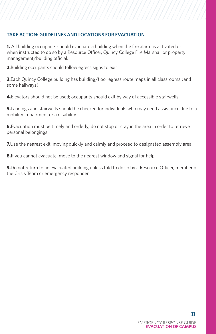# **TAKE ACTION: GUIDELINES AND LOCATIONS FOR EVACUATION**

**1.** All building occupants should evacuate a building when the fire alarm is activated or when instructed to do so by a Resource Officer, Quincy College Fire Marshal, or property management/building official.

**2.**Building occupants should follow egress signs to exit

**3.**Each Quincy College building has building/floor egress route maps in all classrooms (and some hallways)

**4.**Elevators should not be used; occupants should exit by way of accessible stairwells

**5.** Landings and stairwells should be checked for individuals who may need assistance due to a mobility impairment or a disability

**6.**Evacuation must be timely and orderly; do not stop or stay in the area in order to retrieve personal belongings

**7.** Use the nearest exit, moving quickly and calmly and proceed to designated assembly area

**8.**If you cannot evacuate, move to the nearest window and signal for help

**9.**Do not return to an evacuated building unless told to do so by a Resource Officer, member of the Crisis Team or emergency responder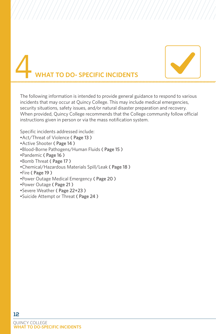

# **TO DO- SPECIFIC INCIDENTS**

The following information is intended to provide general guidance to respond to various incidents that may occur at Quincy College. This may include medical emergencies, security situations, safety issues, and/or natural disaster preparation and recovery. When provided, Quincy College recommends that the College community follow official instructions given in person or via the mass notification system.

Specific incidents addressed include:

- •Act/Threat of Violence ( Page 13 )
- •Active Shooter ( Page 14 )
- •Blood-Borne Pathogens/Human Fluids ( Page 15 )
- •Pandemic ( Page 16 )
- •Bomb Threat ( Page 17 )
- •Chemical/Hazardous Materials Spill/Leak ( Page 18 )
- •Fire ( Page 19 )
- •Power Outage Medical Emergency ( Page 20 )
- •Power Outage ( Page 21 )
- •Severe Weather ( Page 22+23 )
- •Suicide Attempt or Threat ( Page 24 )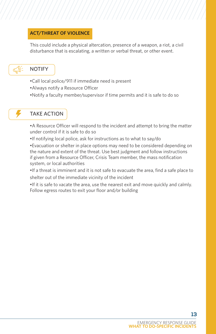# **ACT/THREAT OF VIOLENCE**

This could include a physical altercation, presence of a weapon, a riot, a civil disturbance that is escalating, a written or verbal threat, or other event.

# NOTIFY

- •Call local police/911 if immediate need is present
- •Always notify a Resource Officer
- •Notify a faculty member/supervisor if time permits and it is safe to do so

# TAKE ACTION

•A Resource Officer will respond to the incident and attempt to bring the matter under control if it is safe to do so

•If notifying local police, ask for instructions as to what to say/do

•Evacuation or shelter in place options may need to be considered depending on the nature and extent of the threat. Use best judgment and follow instructions if given from a Resource Officer, Crisis Team member, the mass notification system, or local authorities

•If a threat is imminent and it is not safe to evacuate the area, find a safe place to shelter out of the immediate vicinity of the incident

•If it is safe to vacate the area, use the nearest exit and move quickly and calmly. Follow egress routes to exit your floor and/or building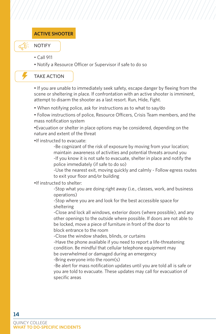# **ACTIVE SHOOTER**



### NOTIFY

- Call 911
- Notify a Resource Officer or Supervisor if safe to do so

# TAKE ACTION

• If you are unable to immediately seek safety, escape danger by fleeing from the scene or sheltering in place. If confrontation with an active shooter is imminent, attempt to disarm the shooter as a last resort. Run, Hide, Fight.

- When notifying police, ask for instructions as to what to say/do
- Follow instructions of police, Resource Officers, Crisis Team members, and the mass notification system

•Evacuation or shelter in place options may be considered, depending on the nature and extent of the threat

•If instructed to evacuate:

-Be cognizant of the risk of exposure by moving from your location; maintain awareness of activities and potential threats around you -If you know it is not safe to evacuate, shelter in place and notify the police immediately (if safe to do so)

-Use the nearest exit, moving quickly and calmly - Follow egress routes to exit your floor and/or building

### •If instructed to shelter:

-Stop what you are doing right away (i.e., classes, work, and business operations)

-Stop where you are and look for the best accessible space for sheltering

-Close and lock all windows, exterior doors (where possible), and any other openings to the outside where possible. If doors are not able to be locked, move a piece of furniture in front of the door to block entrance to the room

-Close the window shades, blinds, or curtains

-Have the phone available if you need to report a life-threatening condition. Be mindful that cellular telephone equipment may be overwhelmed or damaged during an emergency

-Bring everyone into the room(s)

-Be alert for mass notification updates until you are told all is safe or you are told to evacuate. These updates may call for evacuation of specific areas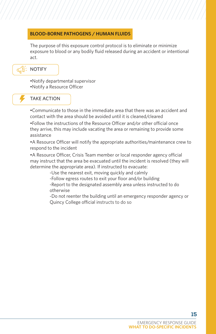# **BLOOD-BORNE PATHOGENS / HUMAN FLUIDS**

The purpose of this exposure control protocol is to eliminate or minimize exposure to blood or any bodily fluid released during an accident or intentional act.

# NOTIFY

•Notify departmental supervisor •Notify a Resource Officer

# TAKE ACTION

•Communicate to those in the immediate area that there was an accident and contact with the area should be avoided until it is cleaned/cleared

•Follow the instructions of the Resource Officer and/or other official once they arrive, this may include vacating the area or remaining to provide some assistance

•A Resource Officer will notify the appropriate authorities/maintenance crew to respond to the incident

•A Resource Officer, Crisis Team member or local responder agency official may instruct that the area be evacuated until the incident is resolved (they will determine the appropriate area). If instructed to evacuate:

-Use the nearest exit, moving quickly and calmly

-Follow egress routes to exit your floor and/or building

-Report to the designated assembly area unless instructed to do otherwise

-Do not reenter the building until an emergency responder agency or Quincy College official instructs to do so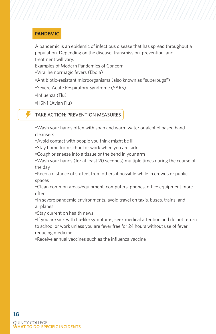# **PANDEMIC**

A pandemic is an epidemic of infectious disease that has spread throughout a population. Depending on the disease, transmission, prevention, and treatment will vary.

Examples of Modern Pandemics of Concern

- •Viral hemorrhagic fevers (Ebola)
- •Antibiotic-resistant microorganisms (also known as "superbugs")
- •Severe Acute Respiratory Syndrome (SARS)
- •Influenza (Flu)
- •H5N1 (Avian Flu)

# TAKE ACTION: PREVENTION MEASURES

- •Wash your hands often with soap and warm water or alcohol based hand cleansers
- •Avoid contact with people you think might be ill
- •Stay home from school or work when you are sick
- •Cough or sneeze into a tissue or the bend in your arm
- •Wash your hands (for at least 20 seconds) multiple times during the course of the day

•Keep a distance of six feet from others if possible while in crowds or public spaces

•Clean common areas/equipment, computers, phones, office equipment more often

•In severe pandemic environments, avoid travel on taxis, buses, trains, and airplanes

•Stay current on health news

•If you are sick with flu-like symptoms, seek medical attention and do not return to school or work unless you are fever free for 24 hours without use of fever reducing medicine

•Receive annual vaccines such as the influenza vaccine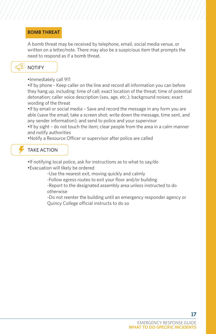# **BOMB THREAT**

A bomb threat may be received by telephone, email, social media venue, or written on a letter/note. There may also be a suspicious item that prompts the need to respond as if a bomb threat.

# NOTIFY



•If by phone - Keep caller on the line and record all information you can before they hang up, including: time of call; exact location of the threat; time of potential detonation; caller voice description (sex, age, etc.); background noises; exact wording of the threat

•If by email or social media – Save and record the message in any form you are able (save the email; take a screen shot; write down the message, time sent, and any sender information); and send to police and your supervisor

•If by sight – do not touch the item; clear people from the area in a calm manner and notify authorities

•Notify a Resource Officer or supervisor after police are called

# TAKE ACTION

- •If notifying local police, ask for instructions as to what to say/do
- •Evacuation will likely be ordered

-Use the nearest exit, moving quickly and calmly

- -Follow egress routes to exit your floor and/or building
- -Report to the designated assembly area unless instructed to do otherwise

-Do not reenter the building until an emergency responder agency or Quincy College official instructs to do so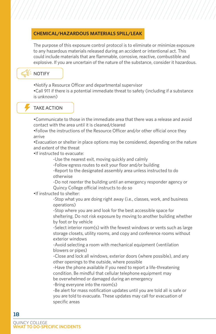# **CHEMICAL/HAZARDOUS MATERIALS SPILL/LEAK**

The purpose of this exposure control protocol is to eliminate or minimize exposure to any hazardous materials released during an accident or intentional act. This could include materials that are flammable, corrosive, reactive, combustible and explosive. If you are uncertain of the nature of the substance, consider it hazardous.

# NOTIFY

•Notify a Resource Officer and departmental supervisor

•Call 911 if there is a potential immediate threat to safety (including if a substance is unknown)

# TAKE ACTION

•Communicate to those in the immediate area that there was a release and avoid contact with the area until it is cleaned/cleared

•Follow the instructions of the Resource Officer and/or other official once they arrive

•Evacuation or shelter in place options may be considered, depending on the nature and extent of the threat

•If instructed to evacuate:

-Use the nearest exit, moving quickly and calmly

-Follow egress routes to exit your floor and/or building

-Report to the designated assembly area unless instructed to do otherwise

-Do not reenter the building until an emergency responder agency or Quincy College official instructs to do so

•If instructed to shelter:

-Stop what you are doing right away (i.e., classes, work, and business operations)

-Stop where you are and look for the best accessible space for sheltering. Do not risk exposure by moving to another building whether by foot or by vehicle

-Select interior room(s) with the fewest windows or vents such as large storage closets, utility rooms, and copy and conference rooms without exterior windows

-Avoid selecting a room with mechanical equipment (ventilation blowers or pipes)

-Close and lock all windows, exterior doors (where possible), and any other openings to the outside, where possible

-Have the phone available if you need to report a life-threatening condition. Be mindful that cellular telephone equipment may be overwhelmed or damaged during an emergency -Bring everyone into the room(s)

-Be alert for mass notification updates until you are told all is safe or you are told to evacuate. These updates may call for evacuation of specific areas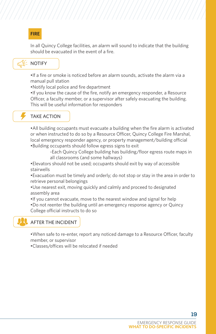# **FIRE**

In all Quincy College facilities, an alarm will sound to indicate that the building should be evacuated in the event of a fire.

# NOTIFY

•If a fire or smoke is noticed before an alarm sounds, activate the alarm via a manual pull station

•Notify local police and fire department

•If you know the cause of the fire, notify an emergency responder, a Resource Officer, a faculty member, or a supervisor after safely evacuating the building. This will be useful information for responders

# TAKE ACTION

•All building occupants must evacuate a building when the fire alarm is activated or when instructed to do so by a Resource Officer, Quincy College Fire Marshal, local emergency responder agency, or property management/building official •Building occupants should follow egress signs to exit

> -Each Quincy College building has building/floor egress route maps in all classrooms (and some hallways)

•Elevators should not be used; occupants should exit by way of accessible stairwells

•Evacuation must be timely and orderly; do not stop or stay in the area in order to retrieve personal belongings

- •Use nearest exit, moving quickly and calmly and proceed to designated assembly area
- •If you cannot evacuate, move to the nearest window and signal for help
- •Do not reenter the building until an emergency response agency or Quincy College official instructs to do so

# AFTER THE INCIDENT

•When safe to re-enter, report any noticed damage to a Resource Officer, faculty member, or supervisor

•Classes/offices will be relocated if needed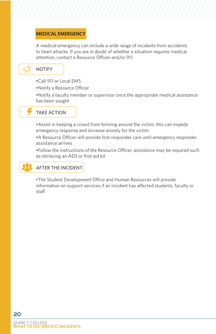# **MEDICAL EMERGENCY**

A medical emergency can include a wide range of incidents from accidents to heart attacks. If you are in doubt of whether a situation requires medical attention, contact a Resource Officer and/or 911.

# NOTIFY

- •Call 911 or Local EMS
- •Notify a Resource Officer

•Notify a faculty member or supervisor once the appropriate medical assistance has been sought

# TAKE ACTION

•Assist in keeping a crowd from forming around the victim, this can impede emergency response and increase anxiety for the victim

•A Resource Officer will provide first responder care until emergency responder assistance arrives

•Follow the instructions of the Resource Officer, assistance may be required such as retrieving an AED or first aid kit

# AFTER THE INCIDENT

•The Student Development Office and Human Resources will provide information on support services if an incident has affected students, faculty or staff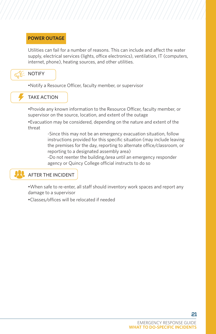# **POWER OUTAGE**

Utilities can fail for a number of reasons. This can include and affect the water supply, electrical services (lights, office electronics), ventilation, IT (computers, internet, phone), heating sources, and other utilities.



•Notify a Resource Officer, faculty member, or supervisor



TAKE ACTION

•Provide any known information to the Resource Officer, faculty member, or supervisor on the source, location, and extent of the outage

•Evacuation may be considered, depending on the nature and extent of the threat

> -Since this may not be an emergency evacuation situation, follow instructions provided for this specific situation (may include leaving the premises for the day, reporting to alternate office/classroom, or reporting to a designated assembly area)

-Do not reenter the building/area until an emergency responder agency or Quincy College official instructs to do so

# AFTER THE INCIDENT

•When safe to re-enter, all staff should inventory work spaces and report any damage to a supervisor

•Classes/offices will be relocated if needed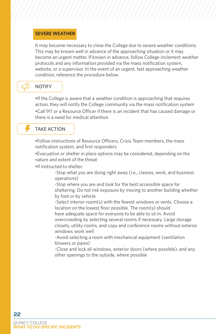### **SEVERE WEATHER**

It may become necessary to close the College due to severe weather conditions. This may be known well in advance of the approaching situation or it may become an urgent matter. If known in advance, follow College inclement weather protocols and any information provided via the mass notification system, website, or a supervisor. In the event of an urgent, fast approaching weather condition, reference the procedure below.

# NOTIFY

•If the College is aware that a weather condition is approaching that requires action, they will notify the College community via the mass notification system •Call 911 or a Resource Officer if there is an incident that has caused damage or there is a need for medical attention

# TAKE ACTION

•Follow instructions of Resource Officers, Crisis Team members, the mass notification system, and first responders

•Evacuation or shelter in place options may be considered, depending on the nature and extent of the threat

•If instructed to shelter:

-Stop what you are doing right away (i.e., classes, work, and business operations)

-Stop where you are and look for the best accessible space for sheltering. Do not risk exposure by moving to another building whether by foot or by vehicle

-Select interior room(s) with the fewest windows or vents. Choose a location on the lowest floor possible. The room(s) should have adequate space for everyone to be able to sit in. Avoid

overcrowding by selecting several rooms if necessary. Large storage closets, utility rooms, and copy and conference rooms without exterior windows work well

-Avoid selecting a room with mechanical equipment (ventilation blowers or pipes)

-Close and lock all windows, exterior doors (where possible), and any other openings to the outside, where possible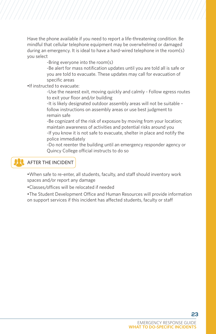Have the phone available if you need to report a life-threatening condition. Be mindful that cellular telephone equipment may be overwhelmed or damaged during an emergency. It is ideal to have a hard-wired telephone in the room(s) you select

-Bring everyone into the room(s)

-Be alert for mass notification updates until you are told all is safe or you are told to evacuate. These updates may call for evacuation of specific areas

•If instructed to evacuate:

-Use the nearest exit, moving quickly and calmly - Follow egress routes to exit your floor and/or building

-It is likely designated outdoor assembly areas will not be suitable – follow instructions on assembly areas or use best judgment to remain safe

-Be cognizant of the risk of exposure by moving from your location; maintain awareness of activities and potential risks around you -If you know it is not safe to evacuate, shelter in place and notify the police immediately

-Do not reenter the building until an emergency responder agency or Quincy College official instructs to do so

# AFTER THE INCIDENT

•When safe to re-enter, all students, faculty, and staff should inventory work spaces and/or report any damage

•Classes/offices will be relocated if needed

•The Student Development Office and Human Resources will provide information on support services if this incident has affected students, faculty or staff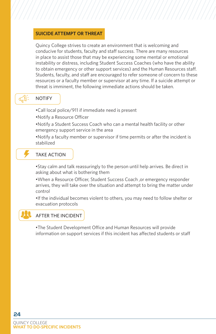# **SUICIDE ATTEMPT OR THREAT**

Quincy College strives to create an environment that is welcoming and conducive for students, faculty and staff success. There are many resources in place to assist those that may be experiencing some mental or emotional instability or distress, including Student Success Coaches (who have the ability to obtain emergency or other support services) and the Human Resources staff. Students, faculty, and staff are encouraged to refer someone of concern to these resources or a faculty member or supervisor at any time. If a suicide attempt or threat is imminent, the following immediate actions should be taken.

# NOTIFY

- •Call local police/911 if immediate need is present
- •Notify a Resource Officer
- •Notify a Student Success Coach who can a mental health facility or other emergency support service in the area
- •Notify a faculty member or supervisor if time permits or after the incident is stabilized

# TAKE ACTION

•Stay calm and talk reassuringly to the person until help arrives. Be direct in asking about what is bothering them

•When a Resource Officer, Student Success Coach ,or emergency responder arrives, they will take over the situation and attempt to bring the matter under control

•If the individual becomes violent to others, you may need to follow shelter or evacuation protocols

# AFTER THE INCIDENT

•The Student Development Office and Human Resources will provide information on support services if this incident has affected students or staff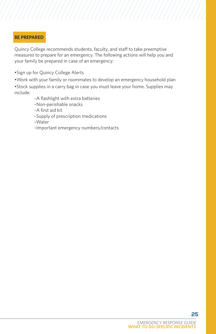# **BE PREPARED**

Quincy College recommends students, faculty, and staff to take preemptive measures to prepare for an emergency. The following actions will help you and your family be prepared in case of an emergency:

•Sign up for Quincy College Alerts

•Work with your family or roommates to develop an emergency household plan

•Stock supplies in a carry bag in case you must leave your home. Supplies may include:

–A flashlight with extra batteries

- –Non-perishable snacks
- –A first aid kit
- –Supply of prescription medications

–Water

–Important emergency numbers/contacts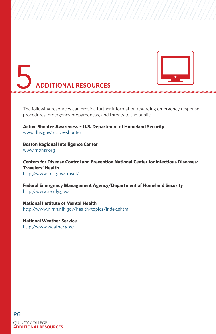



The following resources can provide further information regarding emergency response procedures, emergency preparedness, and threats to the public.

**Active Shooter Awareness – U.S. Department of Homeland Security** www.dhs.gov/active-shooter

**Boston Regional Intelligence Center** www.mbhsr.org

**Centers for Disease Control and Prevention National Center for Infectious Diseases: Travelers' Health** http://www.cdc.gov/travel/

**Federal Emergency Management Agency/Department of Homeland Security** http://www.ready.gov/

**National Institute of Mental Health** http://www.nimh.nih.gov/health/topics/index.shtml

**National Weather Service** http://www.weather.gov/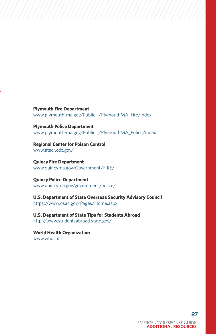**Plymouth Fire Department** www.plymouth-ma.gov/Public.../PlymouthMA\_Fire/index

**Plymouth Police Department** www.plymouth-ma.gov/Public.../PlymouthMA\_Police/index

**Regional Center for Poison Control** www.atsdr.cdc.gov/

**Quincy Fire Department** www.quincyma.gov/Government/FIRE/

**Quincy Police Department** www.quincyma.gov/government/police/

**U.S. Department of State Overseas Security Advisory Council** https://www.osac.gov/Pages/Home.aspx

**U.S. Department of State Tips for Students Abroad** http://www.studentsabroad.state.gov/

**World Health Organization**  www.who.int